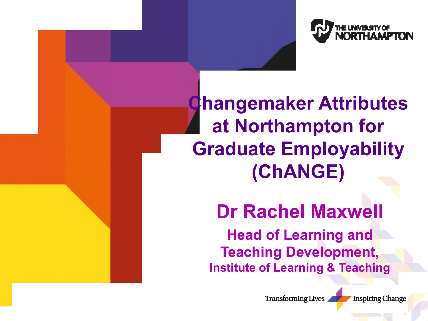

**Changemaker Attributes at Northampton for Graduate Employability (ChANGE)**

**Dr Rachel Maxwell**

**Head of Learning and Teaching Development, Institute of Learning & Teaching**

**Transforming Lives** 

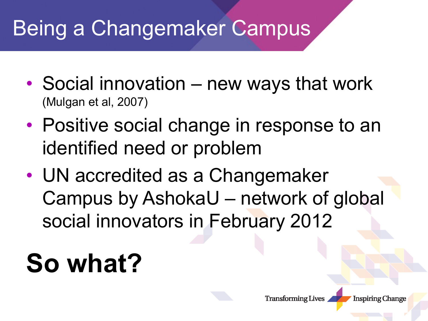### Being a Changemaker Campus

- Social innovation new ways that work (Mulgan et al, 2007)
- Positive social change in response to an identified need or problem
- UN accredited as a Changemaker Campus by AshokaU – network of global social innovators in February 2012

## **So what?**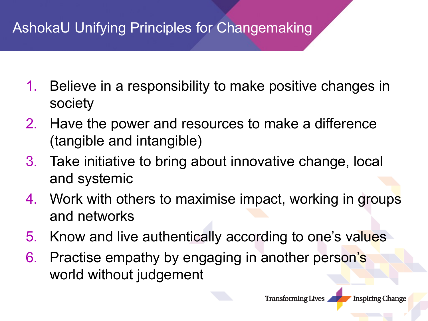#### AshokaU Unifying Principles for Changemaking

- 1. Believe in a responsibility to make positive changes in society
- 2. Have the power and resources to make a difference (tangible and intangible)
- 3. Take initiative to bring about innovative change, local and systemic
- 4. Work with others to maximise impact, working in groups and networks
- 5. Know and live authentically according to one's values
- 6. Practise empathy by engaging in another person's world without judgement

**Transforming Lives**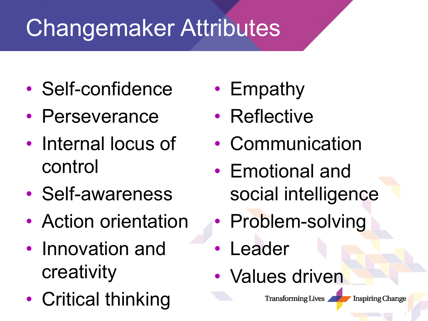### Changemaker Attributes

- Self-confidence
- Perseverance
- Internal locus of control
- Self-awareness
- Action orientation
- Innovation and creativity
- Critical thinking
- Empathy
- Reflective
- Communication
- Emotional and social intelligence
- Problem-solving
- Leader
- Values driven

**Transforming Lives**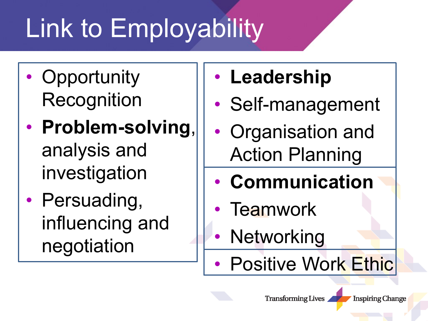# Link to Employability

- Opportunity Recognition
- **Problem-solving**, analysis and investigation
- Persuading, influencing and negotiation
- **Leadership**
- Self-management
- Organisation and Action Planning
- **Communication**
- Teamwork
- **Networking**
- **Positive Work Ethic**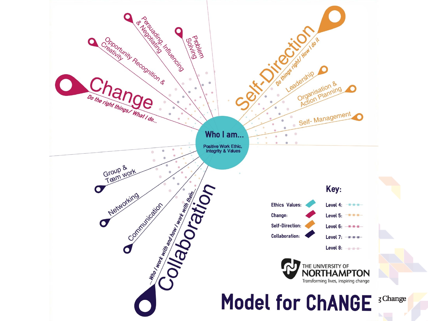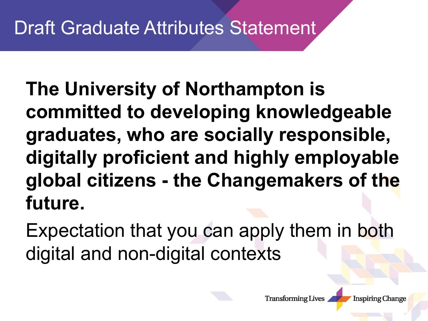**The University of Northampton is committed to developing knowledgeable graduates, who are socially responsible, digitally proficient and highly employable global citizens - the Changemakers of the future.** 

Expectation that you can apply them in both digital and non-digital contexts

**Transforming Lives**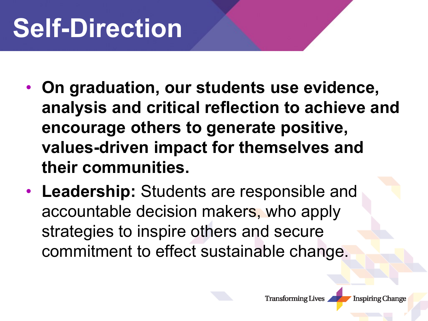## **Self-Direction**

- **On graduation, our students use evidence, analysis and critical reflection to achieve and encourage others to generate positive, values-driven impact for themselves and their communities.**
- **Leadership:** Students are responsible and accountable decision makers, who apply strategies to inspire others and secure commitment to effect sustainable change.

**Transforming Lives**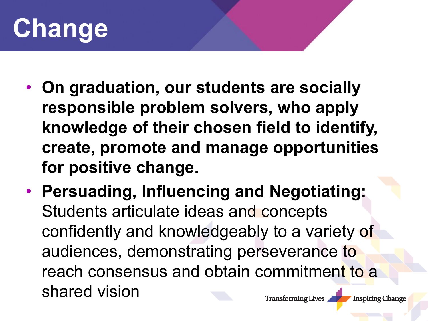

- **On graduation, our students are socially responsible problem solvers, who apply knowledge of their chosen field to identify, create, promote and manage opportunities for positive change.**
- **Persuading, Influencing and Negotiating:**  Students articulate ideas and concepts confidently and knowledgeably to a variety of audiences, demonstrating perseverance to reach consensus and obtain commitment to a shared vision **Transforming Lives Inspiring Change**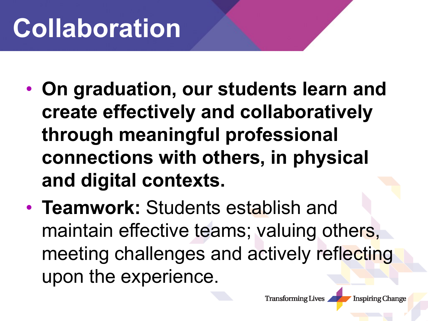## **Collaboration**

- **On graduation, our students learn and create effectively and collaboratively through meaningful professional connections with others, in physical and digital contexts.**
- **Teamwork:** Students establish and maintain effective teams; valuing others, meeting challenges and actively reflecting upon the experience.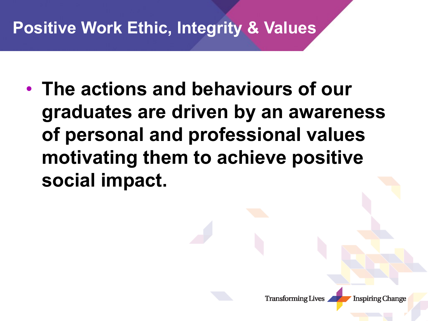#### **Positive Work Ethic, Integrity & Values**

• **The actions and behaviours of our graduates are driven by an awareness of personal and professional values motivating them to achieve positive social impact.**



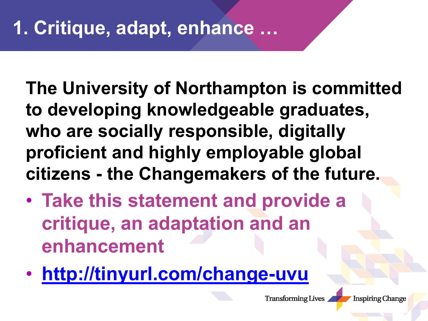**The University of Northampton is committed to developing knowledgeable graduates, who are socially responsible, digitally proficient and highly employable global citizens - the Changemakers of the future.** 

- **Take this statement and provide a critique, an adaptation and an enhancement**
- **<http://tinyurl.com/change-uvu>**

**Transforming Lives**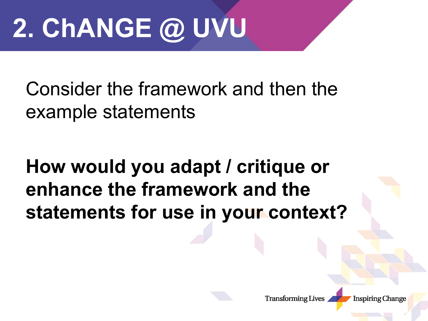# **2. ChANGE @ UVU**

Consider the framework and then the example statements

#### **How would you adapt / critique or enhance the framework and the statements for use in your context?**

**Transforming Lives**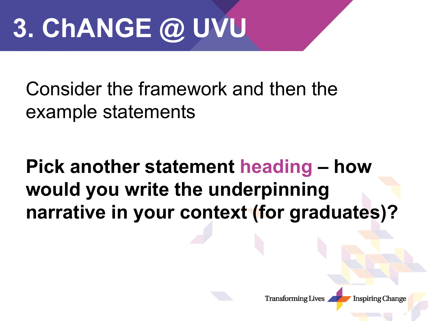# **3. ChANGE @ UVU**

Consider the framework and then the example statements

**Pick another statement heading – how would you write the underpinning narrative in your context (for graduates)?**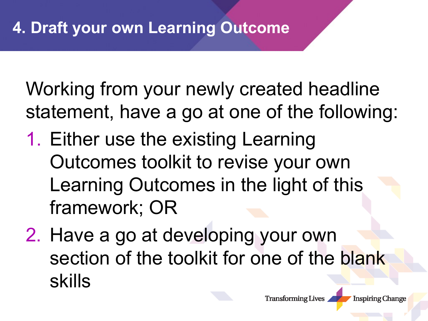Working from your newly created headline statement, have a go at one of the following:

- 1. Either use the existing Learning Outcomes toolkit to revise your own Learning Outcomes in the light of this framework; OR
- 2. Have a go at developing your own section of the toolkit for one of the blank skills

**Transforming Lives**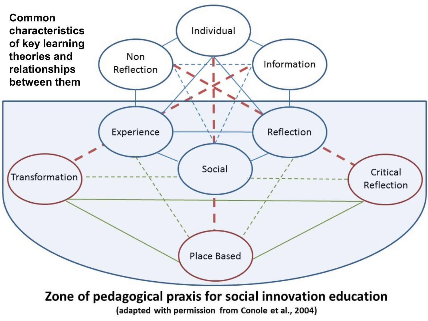